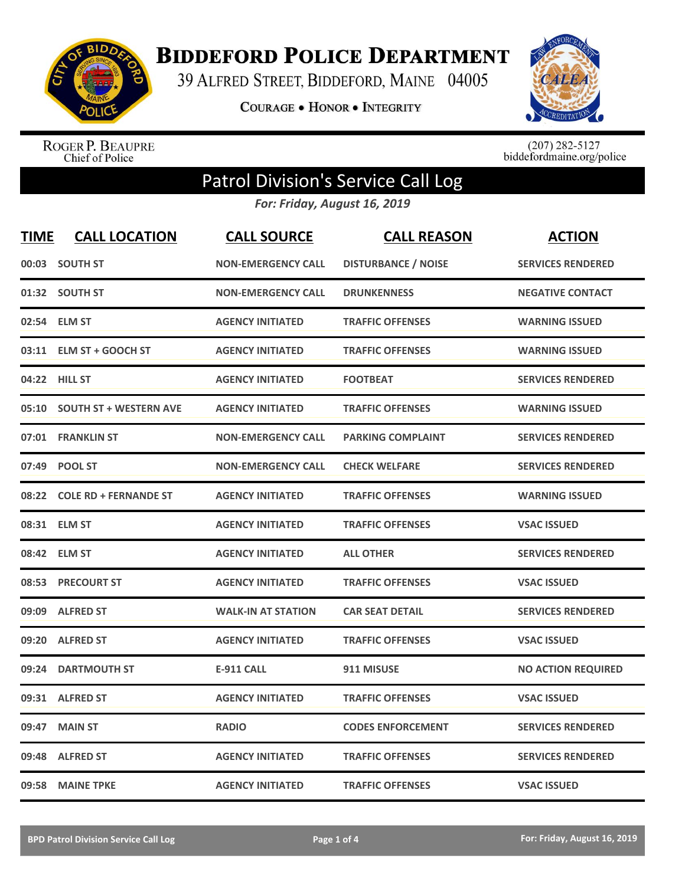

**BIDDEFORD POLICE DEPARTMENT** 

39 ALFRED STREET, BIDDEFORD, MAINE 04005

**COURAGE . HONOR . INTEGRITY** 



ROGER P. BEAUPRE<br>Chief of Police

 $(207)$  282-5127<br>biddefordmaine.org/police

## Patrol Division's Service Call Log

*For: Friday, August 16, 2019*

| <b>TIME</b> | <b>CALL LOCATION</b>          | <b>CALL SOURCE</b>        | <b>CALL REASON</b>         | <b>ACTION</b>             |
|-------------|-------------------------------|---------------------------|----------------------------|---------------------------|
| 00:03       | <b>SOUTH ST</b>               | <b>NON-EMERGENCY CALL</b> | <b>DISTURBANCE / NOISE</b> | <b>SERVICES RENDERED</b>  |
|             | 01:32 SOUTH ST                | <b>NON-EMERGENCY CALL</b> | <b>DRUNKENNESS</b>         | <b>NEGATIVE CONTACT</b>   |
| 02:54       | <b>ELM ST</b>                 | <b>AGENCY INITIATED</b>   | <b>TRAFFIC OFFENSES</b>    | <b>WARNING ISSUED</b>     |
| 03:11       | <b>ELM ST + GOOCH ST</b>      | <b>AGENCY INITIATED</b>   | <b>TRAFFIC OFFENSES</b>    | <b>WARNING ISSUED</b>     |
|             | 04:22 HILL ST                 | <b>AGENCY INITIATED</b>   | <b>FOOTBEAT</b>            | <b>SERVICES RENDERED</b>  |
| 05:10       | <b>SOUTH ST + WESTERN AVE</b> | <b>AGENCY INITIATED</b>   | <b>TRAFFIC OFFENSES</b>    | <b>WARNING ISSUED</b>     |
| 07:01       | <b>FRANKLIN ST</b>            | <b>NON-EMERGENCY CALL</b> | <b>PARKING COMPLAINT</b>   | <b>SERVICES RENDERED</b>  |
| 07:49       | <b>POOL ST</b>                | <b>NON-EMERGENCY CALL</b> | <b>CHECK WELFARE</b>       | <b>SERVICES RENDERED</b>  |
| 08:22       | <b>COLE RD + FERNANDE ST</b>  | <b>AGENCY INITIATED</b>   | <b>TRAFFIC OFFENSES</b>    | <b>WARNING ISSUED</b>     |
|             | 08:31 ELM ST                  | <b>AGENCY INITIATED</b>   | <b>TRAFFIC OFFENSES</b>    | <b>VSAC ISSUED</b>        |
|             | 08:42 ELM ST                  | <b>AGENCY INITIATED</b>   | <b>ALL OTHER</b>           | <b>SERVICES RENDERED</b>  |
| 08:53       | <b>PRECOURT ST</b>            | <b>AGENCY INITIATED</b>   | <b>TRAFFIC OFFENSES</b>    | <b>VSAC ISSUED</b>        |
| 09:09       | <b>ALFRED ST</b>              | <b>WALK-IN AT STATION</b> | <b>CAR SEAT DETAIL</b>     | <b>SERVICES RENDERED</b>  |
| 09:20       | <b>ALFRED ST</b>              | <b>AGENCY INITIATED</b>   | <b>TRAFFIC OFFENSES</b>    | <b>VSAC ISSUED</b>        |
| 09:24       | <b>DARTMOUTH ST</b>           | <b>E-911 CALL</b>         | 911 MISUSE                 | <b>NO ACTION REQUIRED</b> |
| 09:31       | <b>ALFRED ST</b>              | <b>AGENCY INITIATED</b>   | <b>TRAFFIC OFFENSES</b>    | <b>VSAC ISSUED</b>        |
| 09:47       | <b>MAIN ST</b>                | <b>RADIO</b>              | <b>CODES ENFORCEMENT</b>   | <b>SERVICES RENDERED</b>  |
| 09:48       | <b>ALFRED ST</b>              | <b>AGENCY INITIATED</b>   | <b>TRAFFIC OFFENSES</b>    | <b>SERVICES RENDERED</b>  |
|             | 09:58 MAINE TPKE              | <b>AGENCY INITIATED</b>   | <b>TRAFFIC OFFENSES</b>    | <b>VSAC ISSUED</b>        |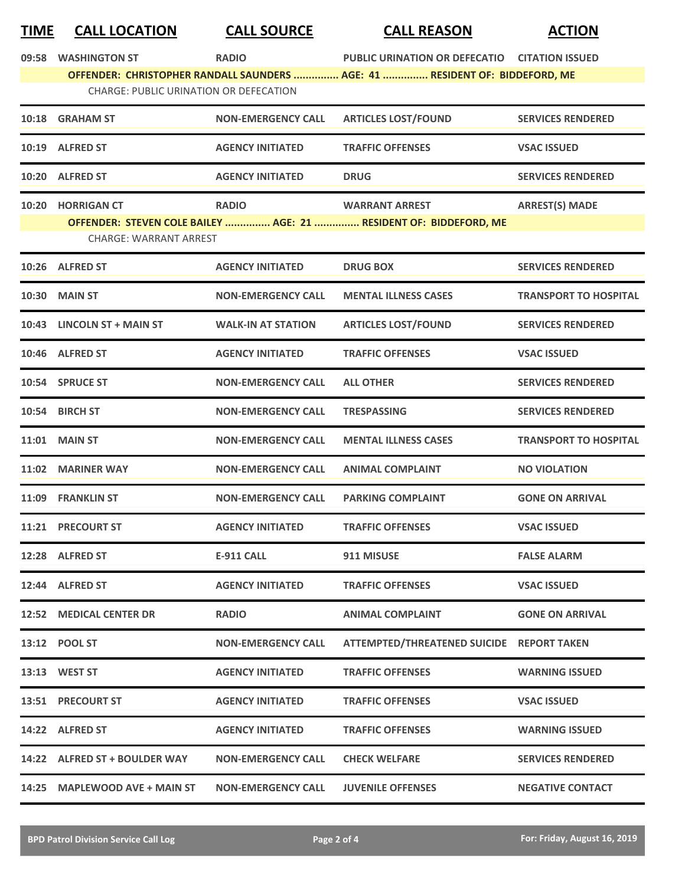## **TIME CALL LOCATION CALL SOURCE CALL REASON ACTION**

|       | 09:58 WASHINGTON ST                                                                                                          | <b>RADIO</b>              | PUBLIC URINATION OR DEFECATIO CITATION ISSUED |                              |  |  |
|-------|------------------------------------------------------------------------------------------------------------------------------|---------------------------|-----------------------------------------------|------------------------------|--|--|
|       | OFFENDER: CHRISTOPHER RANDALL SAUNDERS  AGE: 41  RESIDENT OF: BIDDEFORD, ME<br><b>CHARGE: PUBLIC URINATION OR DEFECATION</b> |                           |                                               |                              |  |  |
|       | 10:18 GRAHAM ST                                                                                                              | <b>NON-EMERGENCY CALL</b> | <b>ARTICLES LOST/FOUND</b>                    | <b>SERVICES RENDERED</b>     |  |  |
|       |                                                                                                                              |                           |                                               |                              |  |  |
|       | 10:19 ALFRED ST                                                                                                              | <b>AGENCY INITIATED</b>   | <b>TRAFFIC OFFENSES</b>                       | <b>VSAC ISSUED</b>           |  |  |
| 10:20 | <b>ALFRED ST</b>                                                                                                             | <b>AGENCY INITIATED</b>   | <b>DRUG</b>                                   | <b>SERVICES RENDERED</b>     |  |  |
|       | 10:20 HORRIGAN CT                                                                                                            | <b>RADIO</b>              | <b>WARRANT ARREST</b>                         | <b>ARREST(S) MADE</b>        |  |  |
|       | OFFENDER: STEVEN COLE BAILEY  AGE: 21  RESIDENT OF: BIDDEFORD, ME<br><b>CHARGE: WARRANT ARREST</b>                           |                           |                                               |                              |  |  |
|       | 10:26 ALFRED ST                                                                                                              | <b>AGENCY INITIATED</b>   | <b>DRUG BOX</b>                               | <b>SERVICES RENDERED</b>     |  |  |
|       | <b>10:30 MAIN ST</b>                                                                                                         | <b>NON-EMERGENCY CALL</b> | <b>MENTAL ILLNESS CASES</b>                   | <b>TRANSPORT TO HOSPITAL</b> |  |  |
| 10:43 | <b>LINCOLN ST + MAIN ST</b>                                                                                                  | <b>WALK-IN AT STATION</b> | <b>ARTICLES LOST/FOUND</b>                    | <b>SERVICES RENDERED</b>     |  |  |
|       | 10:46 ALFRED ST                                                                                                              | <b>AGENCY INITIATED</b>   | <b>TRAFFIC OFFENSES</b>                       | <b>VSAC ISSUED</b>           |  |  |
|       | 10:54 SPRUCE ST                                                                                                              | <b>NON-EMERGENCY CALL</b> | <b>ALL OTHER</b>                              | <b>SERVICES RENDERED</b>     |  |  |
|       | 10:54 BIRCH ST                                                                                                               | <b>NON-EMERGENCY CALL</b> | <b>TRESPASSING</b>                            | <b>SERVICES RENDERED</b>     |  |  |
|       | <b>11:01 MAIN ST</b>                                                                                                         | <b>NON-EMERGENCY CALL</b> | <b>MENTAL ILLNESS CASES</b>                   | <b>TRANSPORT TO HOSPITAL</b> |  |  |
|       | 11:02 MARINER WAY                                                                                                            | <b>NON-EMERGENCY CALL</b> | <b>ANIMAL COMPLAINT</b>                       | <b>NO VIOLATION</b>          |  |  |
| 11:09 | <b>FRANKLIN ST</b>                                                                                                           | <b>NON-EMERGENCY CALL</b> | <b>PARKING COMPLAINT</b>                      | <b>GONE ON ARRIVAL</b>       |  |  |
|       | 11:21 PRECOURT ST                                                                                                            | <b>AGENCY INITIATED</b>   | <b>TRAFFIC OFFENSES</b>                       | <b>VSAC ISSUED</b>           |  |  |
|       | 12:28 ALFRED ST                                                                                                              | E-911 CALL                | 911 MISUSE                                    | <b>FALSE ALARM</b>           |  |  |
|       | 12:44 ALFRED ST                                                                                                              | <b>AGENCY INITIATED</b>   | <b>TRAFFIC OFFENSES</b>                       | <b>VSAC ISSUED</b>           |  |  |
|       | <b>12:52 MEDICAL CENTER DR</b>                                                                                               | <b>RADIO</b>              | <b>ANIMAL COMPLAINT</b>                       | <b>GONE ON ARRIVAL</b>       |  |  |
|       | 13:12 POOL ST                                                                                                                | <b>NON-EMERGENCY CALL</b> | ATTEMPTED/THREATENED SUICIDE REPORT TAKEN     |                              |  |  |
|       | 13:13 WEST ST                                                                                                                | <b>AGENCY INITIATED</b>   | <b>TRAFFIC OFFENSES</b>                       | <b>WARNING ISSUED</b>        |  |  |
|       | 13:51 PRECOURT ST                                                                                                            | <b>AGENCY INITIATED</b>   | <b>TRAFFIC OFFENSES</b>                       | <b>VSAC ISSUED</b>           |  |  |
|       | 14:22 ALFRED ST                                                                                                              | <b>AGENCY INITIATED</b>   | <b>TRAFFIC OFFENSES</b>                       | <b>WARNING ISSUED</b>        |  |  |
|       | 14:22 ALFRED ST + BOULDER WAY                                                                                                | <b>NON-EMERGENCY CALL</b> | <b>CHECK WELFARE</b>                          | <b>SERVICES RENDERED</b>     |  |  |
|       | 14:25 MAPLEWOOD AVE + MAIN ST                                                                                                | <b>NON-EMERGENCY CALL</b> | <b>JUVENILE OFFENSES</b>                      | <b>NEGATIVE CONTACT</b>      |  |  |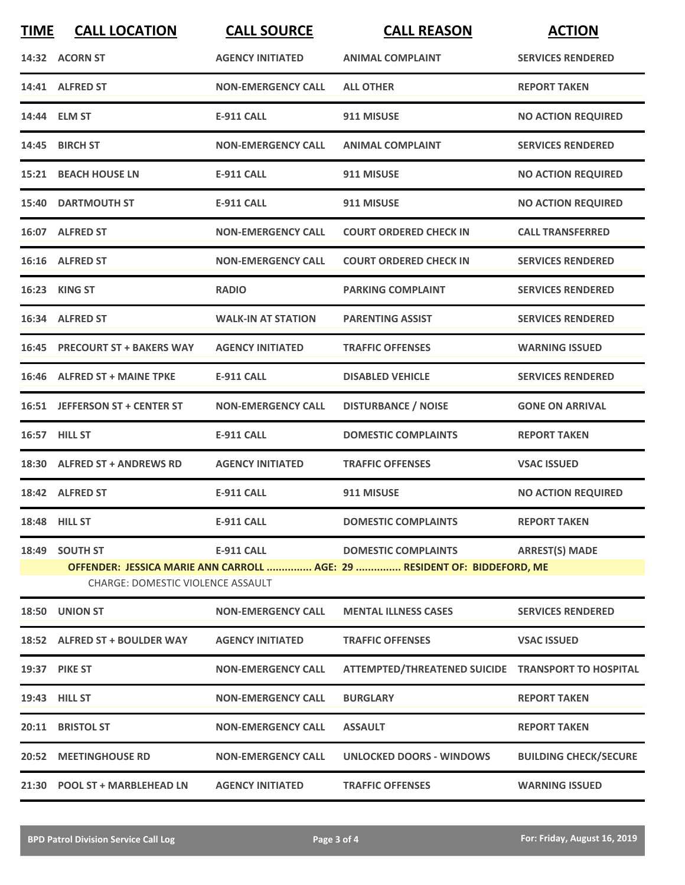| <b>TIME</b>                                                                                                          | <b>CALL LOCATION</b>           | <b>CALL SOURCE</b>        | <b>CALL REASON</b>                                 | <b>ACTION</b>                |  |
|----------------------------------------------------------------------------------------------------------------------|--------------------------------|---------------------------|----------------------------------------------------|------------------------------|--|
|                                                                                                                      | 14:32 ACORN ST                 | <b>AGENCY INITIATED</b>   | <b>ANIMAL COMPLAINT</b>                            | <b>SERVICES RENDERED</b>     |  |
|                                                                                                                      | 14:41 ALFRED ST                | <b>NON-EMERGENCY CALL</b> | <b>ALL OTHER</b>                                   | <b>REPORT TAKEN</b>          |  |
|                                                                                                                      | 14:44 ELM ST                   | <b>E-911 CALL</b>         | 911 MISUSE                                         | <b>NO ACTION REQUIRED</b>    |  |
|                                                                                                                      | 14:45 BIRCH ST                 | <b>NON-EMERGENCY CALL</b> | <b>ANIMAL COMPLAINT</b>                            | <b>SERVICES RENDERED</b>     |  |
|                                                                                                                      | <b>15:21 BEACH HOUSE LN</b>    | <b>E-911 CALL</b>         | 911 MISUSE                                         | <b>NO ACTION REQUIRED</b>    |  |
|                                                                                                                      | <b>15:40 DARTMOUTH ST</b>      | <b>E-911 CALL</b>         | 911 MISUSE                                         | <b>NO ACTION REQUIRED</b>    |  |
|                                                                                                                      | 16:07 ALFRED ST                | <b>NON-EMERGENCY CALL</b> | <b>COURT ORDERED CHECK IN</b>                      | <b>CALL TRANSFERRED</b>      |  |
|                                                                                                                      | 16:16 ALFRED ST                | <b>NON-EMERGENCY CALL</b> | <b>COURT ORDERED CHECK IN</b>                      | <b>SERVICES RENDERED</b>     |  |
|                                                                                                                      | 16:23 KING ST                  | <b>RADIO</b>              | <b>PARKING COMPLAINT</b>                           | <b>SERVICES RENDERED</b>     |  |
|                                                                                                                      | 16:34 ALFRED ST                | <b>WALK-IN AT STATION</b> | <b>PARENTING ASSIST</b>                            | <b>SERVICES RENDERED</b>     |  |
|                                                                                                                      | 16:45 PRECOURT ST + BAKERS WAY | <b>AGENCY INITIATED</b>   | <b>TRAFFIC OFFENSES</b>                            | <b>WARNING ISSUED</b>        |  |
|                                                                                                                      | 16:46 ALFRED ST + MAINE TPKE   | <b>E-911 CALL</b>         | <b>DISABLED VEHICLE</b>                            | <b>SERVICES RENDERED</b>     |  |
|                                                                                                                      | 16:51 JEFFERSON ST + CENTER ST | <b>NON-EMERGENCY CALL</b> | <b>DISTURBANCE / NOISE</b>                         | <b>GONE ON ARRIVAL</b>       |  |
|                                                                                                                      | 16:57 HILL ST                  | <b>E-911 CALL</b>         | <b>DOMESTIC COMPLAINTS</b>                         | <b>REPORT TAKEN</b>          |  |
|                                                                                                                      | 18:30 ALFRED ST + ANDREWS RD   | <b>AGENCY INITIATED</b>   | <b>TRAFFIC OFFENSES</b>                            | <b>VSAC ISSUED</b>           |  |
|                                                                                                                      | 18:42 ALFRED ST                | <b>E-911 CALL</b>         | 911 MISUSE                                         | <b>NO ACTION REQUIRED</b>    |  |
|                                                                                                                      | <b>18:48 HILL ST</b>           | E-911 CALL                | <b>DOMESTIC COMPLAINTS</b>                         | <b>REPORT TAKEN</b>          |  |
|                                                                                                                      | 18:49 SOUTH ST                 | <b>E-911 CALL</b>         | <b>DOMESTIC COMPLAINTS</b>                         | <b>ARREST(S) MADE</b>        |  |
| OFFENDER: JESSICA MARIE ANN CARROLL  AGE: 29  RESIDENT OF: BIDDEFORD, ME<br><b>CHARGE: DOMESTIC VIOLENCE ASSAULT</b> |                                |                           |                                                    |                              |  |
|                                                                                                                      | 18:50 UNION ST                 | <b>NON-EMERGENCY CALL</b> | <b>MENTAL ILLNESS CASES</b>                        | <b>SERVICES RENDERED</b>     |  |
|                                                                                                                      | 18:52 ALFRED ST + BOULDER WAY  | <b>AGENCY INITIATED</b>   | <b>TRAFFIC OFFENSES</b>                            | <b>VSAC ISSUED</b>           |  |
|                                                                                                                      | 19:37 PIKE ST                  | <b>NON-EMERGENCY CALL</b> | ATTEMPTED/THREATENED SUICIDE TRANSPORT TO HOSPITAL |                              |  |
|                                                                                                                      | 19:43 HILL ST                  | <b>NON-EMERGENCY CALL</b> | <b>BURGLARY</b>                                    | <b>REPORT TAKEN</b>          |  |
|                                                                                                                      | 20:11 BRISTOL ST               | <b>NON-EMERGENCY CALL</b> | <b>ASSAULT</b>                                     | <b>REPORT TAKEN</b>          |  |
|                                                                                                                      | 20:52 MEETINGHOUSE RD          | <b>NON-EMERGENCY CALL</b> | UNLOCKED DOORS - WINDOWS                           | <b>BUILDING CHECK/SECURE</b> |  |
|                                                                                                                      | 21:30 POOL ST + MARBLEHEAD LN  | <b>AGENCY INITIATED</b>   | <b>TRAFFIC OFFENSES</b>                            | <b>WARNING ISSUED</b>        |  |